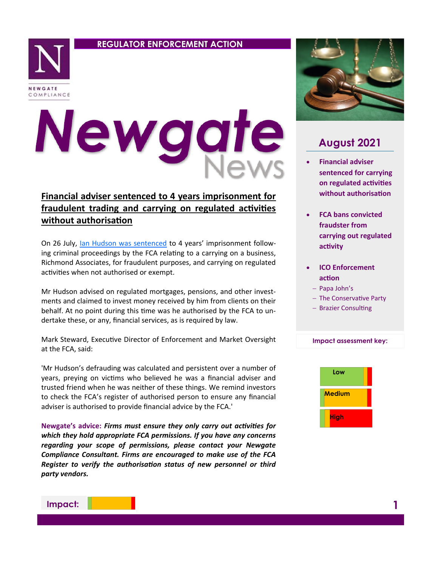# **REGULATOR ENFORCEMENT ACTION**



# Newgate

# **Financial adviser sentenced to 4 years imprisonment for fraudulent trading and carrying on regulated activities without authorisation**

On 26 July, [Ian Hudson was sentenced](https://www.fca.org.uk/news/press-releases/ian-hudson-imprisonment-fraudulent-trading-activities) to 4 years' imprisonment following criminal proceedings by the FCA relating to a carrying on a business, Richmond Associates, for fraudulent purposes, and carrying on regulated activities when not authorised or exempt.

Mr Hudson advised on regulated mortgages, pensions, and other investments and claimed to invest money received by him from clients on their behalf. At no point during this time was he authorised by the FCA to undertake these, or any, financial services, as is required by law.

Mark Steward, Executive Director of Enforcement and Market Oversight at the FCA, said:

'Mr Hudson's defrauding was calculated and persistent over a number of years, preying on victims who believed he was a financial adviser and trusted friend when he was neither of these things. We remind investors to check the FCA's register of authorised person to ensure any financial adviser is authorised to provide financial advice by the FCA.'

**Newgate's advice:** *Firms must ensure they only carry out activities for which they hold appropriate FCA permissions. If you have any concerns regarding your scope of permissions, please contact your Newgate Compliance Consultant. Firms are encouraged to make use of the FCA Register to verify the authorisation status of new personnel or third party vendors.* 



# **August 2021**

- **Financial adviser sentenced for carrying on regulated activities without authorisation**
- **FCA bans convicted fraudster from carrying out regulated activity**
- **ICO Enforcement action**
	- − Papa John's
	- − The Conservative Party
	- − Brazier Consulting

### **Impact assessment key:**



**Impact:**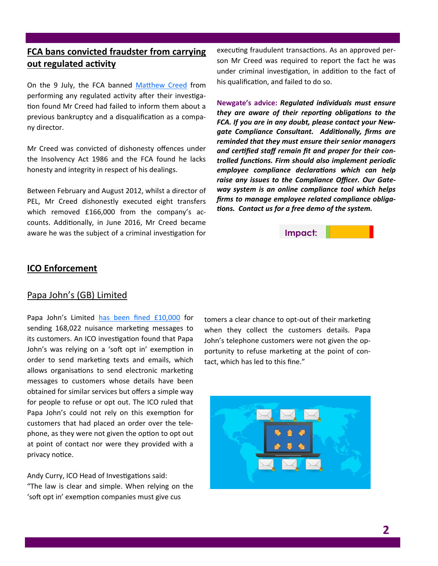# **FCA bans convicted fraudster from carrying out regulated activity**

On the 9 July, the FCA banned [Matthew Creed](https://www.fca.org.uk/news/press-releases/fca-bans-convicted-fraudster-carrying-out-regulated-activity) from performing any regulated activity after their investigation found Mr Creed had failed to inform them about a previous bankruptcy and a disqualification as a company director.

Mr Creed was convicted of dishonesty offences under the Insolvency Act 1986 and the FCA found he lacks honesty and integrity in respect of his dealings.

Between February and August 2012, whilst a director of PEL, Mr Creed dishonestly executed eight transfers which removed £166,000 from the company's accounts. Additionally, in June 2016, Mr Creed became aware he was the subject of a criminal investigation for executing fraudulent transactions. As an approved person Mr Creed was required to report the fact he was under criminal investigation, in addition to the fact of his qualification, and failed to do so.

**Newgate's advice:** *Regulated individuals must ensure they are aware of their reporting obligations to the FCA. If you are in any doubt, please contact your Newgate Compliance Consultant. Additionally, firms are reminded that they must ensure their senior managers and certified staff remain fit and proper for their controlled functions. Firm should also implement periodic employee compliance declarations which can help raise any issues to the Compliance Officer. Our Gateway system is an online compliance tool which helps firms to manage employee related compliance obligations. Contact us for a free demo of the system.* 



### **ICO Enforcement**

# Papa John's (GB) Limited

Papa John's Limited [has been fined £10,000](https://ico.org.uk/about-the-ico/news-and-events/news-and-blogs/2021/06/ico-fines-national-takeaway-pizza-company/) for sending 168,022 nuisance marketing messages to its customers. An ICO investigation found that Papa John's was relying on a 'soft opt in' exemption in order to send marketing texts and emails, which allows organisations to send electronic marketing messages to customers whose details have been obtained for similar services but offers a simple way for people to refuse or opt out. The ICO ruled that Papa John's could not rely on this exemption for customers that had placed an order over the telephone, as they were not given the option to opt out at point of contact nor were they provided with a privacy notice.

Andy Curry, ICO Head of Investigations said: "The law is clear and simple. When relying on the 'soft opt in' exemption companies must give cus

tomers a clear chance to opt-out of their marketing when they collect the customers details. Papa John's telephone customers were not given the opportunity to refuse marketing at the point of contact, which has led to this fine."